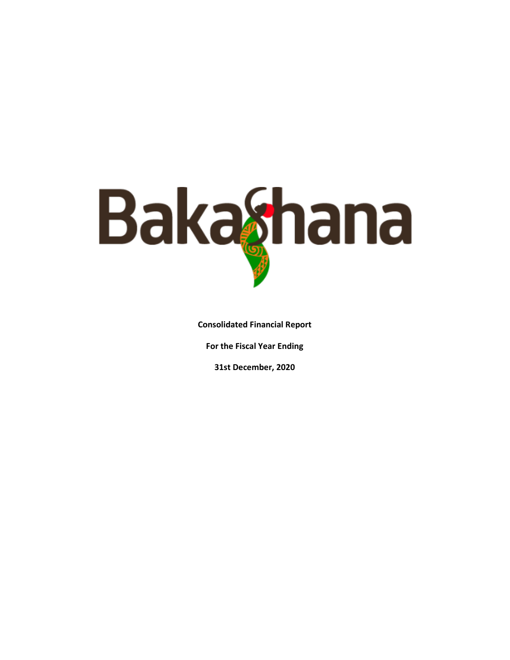

**Consolidated Financial Report** 

**For the Fiscal Year Ending** 

**31st December, 2020**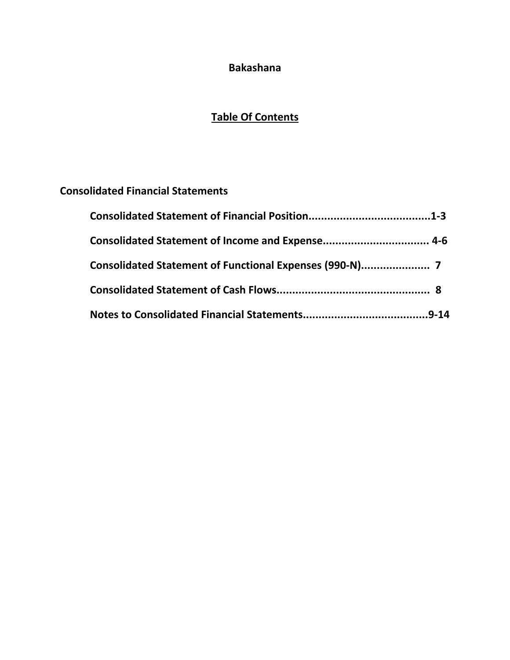## **Bakashana**

## **Table Of Contents**

## **Consolidated Financial Statements**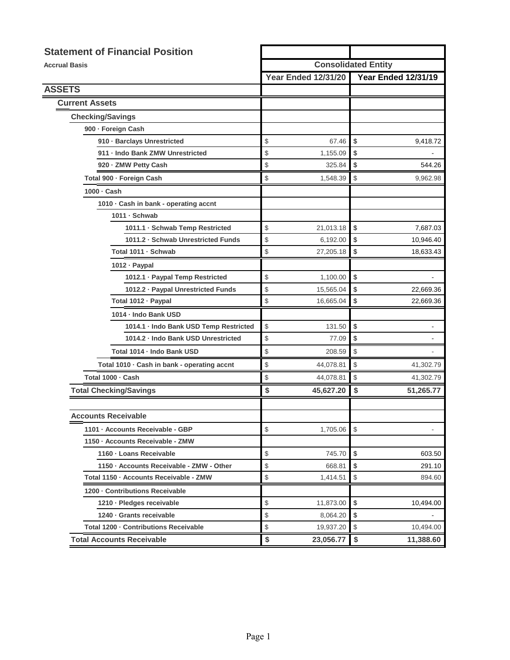| <b>Statement of Financial Position</b>      |                            |                                                            |  |  |
|---------------------------------------------|----------------------------|------------------------------------------------------------|--|--|
| <b>Accrual Basis</b>                        |                            | <b>Consolidated Entity</b>                                 |  |  |
|                                             | <b>Year Ended 12/31/20</b> | <b>Year Ended 12/31/19</b>                                 |  |  |
| <b>ASSETS</b>                               |                            |                                                            |  |  |
| <b>Current Assets</b>                       |                            |                                                            |  |  |
| <b>Checking/Savings</b>                     |                            |                                                            |  |  |
| 900 - Foreign Cash                          |                            |                                                            |  |  |
| 910 · Barclays Unrestricted                 | \$<br>67.46                | \$<br>9,418.72                                             |  |  |
| 911 - Indo Bank ZMW Unrestricted            | \$<br>1,155.09             | \$                                                         |  |  |
| 920 - ZMW Petty Cash                        | \$<br>325.84               | \$<br>544.26                                               |  |  |
| Total 900 - Foreign Cash                    | \$<br>1,548.39             | \$<br>9,962.98                                             |  |  |
| 1000 · Cash                                 |                            |                                                            |  |  |
| 1010 · Cash in bank - operating accnt       |                            |                                                            |  |  |
| 1011 · Schwab                               |                            |                                                            |  |  |
| 1011.1 · Schwab Temp Restricted             | \$<br>21,013.18            | \$<br>7,687.03                                             |  |  |
| 1011.2 · Schwab Unrestricted Funds          | \$<br>6,192.00             | \$<br>10,946.40                                            |  |  |
| Total 1011 · Schwab                         | \$<br>27,205.18            | \$<br>18,633.43                                            |  |  |
| 1012 · Paypal                               |                            |                                                            |  |  |
| 1012.1 · Paypal Temp Restricted             | \$<br>1,100.00             | \$                                                         |  |  |
| 1012.2 · Paypal Unrestricted Funds          | \$<br>15,565.04            | \$<br>22,669.36                                            |  |  |
| Total 1012 · Paypal                         | \$<br>16,665.04            | \$<br>22,669.36                                            |  |  |
| 1014 - Indo Bank USD                        |                            |                                                            |  |  |
| 1014.1 · Indo Bank USD Temp Restricted      | \$<br>131.50               | \$                                                         |  |  |
| 1014.2 - Indo Bank USD Unrestricted         | \$<br>77.09                | \$                                                         |  |  |
| Total 1014 - Indo Bank USD                  | \$<br>208.59               | \$                                                         |  |  |
| Total 1010 · Cash in bank - operating accnt | \$<br>44,078.81            | $\, \, \raisebox{12pt}{$\scriptstyle \circ$}$<br>41,302.79 |  |  |
| Total 1000 · Cash                           | \$<br>44,078.81            | \$<br>41,302.79                                            |  |  |
| <b>Total Checking/Savings</b>               | \$<br>45,627.20            | \$<br>51,265.77                                            |  |  |
|                                             |                            |                                                            |  |  |
| <b>Accounts Receivable</b>                  |                            |                                                            |  |  |
| 1101 - Accounts Receivable - GBP            | \$<br>1,705.06             | \$                                                         |  |  |
| 1150 - Accounts Receivable - ZMW            |                            |                                                            |  |  |
| 1160 · Loans Receivable                     | \$<br>745.70               | \$<br>603.50                                               |  |  |
| 1150 · Accounts Receivable - ZMW - Other    | \$<br>668.81               | \$<br>291.10                                               |  |  |
| Total 1150 - Accounts Receivable - ZMW      | \$<br>1,414.51             | \$<br>894.60                                               |  |  |
| 1200 - Contributions Receivable             |                            |                                                            |  |  |
| 1210 · Pledges receivable                   | \$<br>11,873.00            | \$<br>10,494.00                                            |  |  |
| 1240 · Grants receivable                    | \$<br>8,064.20             | \$                                                         |  |  |
| Total 1200 · Contributions Receivable       | \$<br>19,937.20            | \$<br>10,494.00                                            |  |  |
| <b>Total Accounts Receivable</b>            | \$<br>23,056.77            | \$<br>11,388.60                                            |  |  |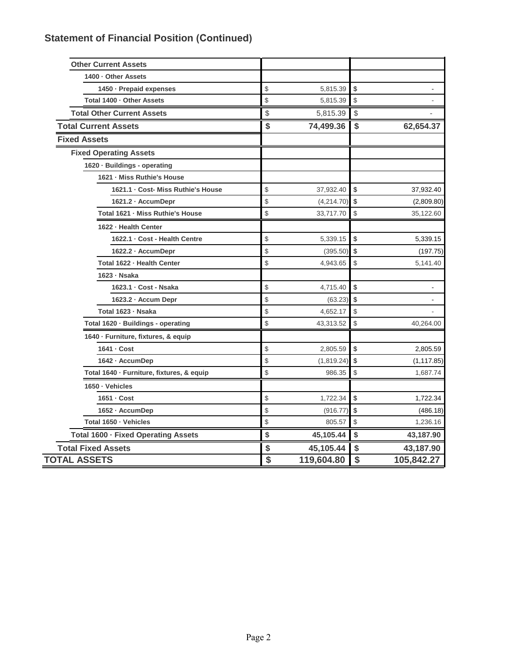| <b>Other Current Assets</b>               |                  |               |              |
|-------------------------------------------|------------------|---------------|--------------|
| 1400 - Other Assets                       |                  |               |              |
| 1450 · Prepaid expenses                   | \$<br>5,815.39   | \$            |              |
| Total 1400 - Other Assets                 | \$<br>5,815.39   | \$            | $\centerdot$ |
| <b>Total Other Current Assets</b>         | \$<br>5,815.39   | $\frac{1}{2}$ | L.           |
| <b>Total Current Assets</b>               | \$<br>74,499.36  | \$            | 62,654.37    |
| <b>Fixed Assets</b>                       |                  |               |              |
| <b>Fixed Operating Assets</b>             |                  |               |              |
| 1620 · Buildings - operating              |                  |               |              |
| 1621 - Miss Ruthie's House                |                  |               |              |
| 1621.1 · Cost- Miss Ruthie's House        | \$<br>37,932.40  | \$            | 37,932.40    |
| 1621.2 · AccumDepr                        | \$<br>(4,214.70) | \$            | (2,809.80)   |
| Total 1621 · Miss Ruthie's House          | \$<br>33,717.70  | \$            | 35,122.60    |
| 1622 - Health Center                      |                  |               |              |
| 1622.1 · Cost - Health Centre             | \$<br>5,339.15   | \$            | 5,339.15     |
| 1622.2 - AccumDepr                        | \$<br>(395.50)   | \$            | (197.75)     |
| Total 1622 - Health Center                | \$<br>4,943.65   | \$            | 5,141.40     |
| 1623 - Nsaka                              |                  |               |              |
| 1623.1 · Cost - Nsaka                     | \$<br>4,715.40   | \$            | -            |
| 1623.2 - Accum Depr                       | \$<br>(63.23)    | \$            | ۰            |
| Total 1623 - Nsaka                        | \$<br>4,652.17   | \$            |              |
| Total 1620 · Buildings - operating        | \$<br>43,313.52  | \$            | 40,264.00    |
| 1640 - Furniture, fixtures, & equip       |                  |               |              |
| 1641 - Cost                               | \$<br>2,805.59   | \$            | 2,805.59     |
| 1642 - AccumDep                           | \$<br>(1,819.24) | \$            | (1, 117.85)  |
| Total 1640 · Furniture, fixtures, & equip | \$<br>986.35     | \$            | 1,687.74     |
| 1650 · Vehicles                           |                  |               |              |
| 1651 - Cost                               | \$<br>1,722.34   | \$            | 1,722.34     |
| 1652 · AccumDep                           | \$<br>(916.77)   | \$            | (486.18)     |
| Total 1650 · Vehicles                     | \$<br>805.57     | \$            | 1,236.16     |
| Total 1600 - Fixed Operating Assets       | \$<br>45,105.44  | \$            | 43,187.90    |
| <b>Total Fixed Assets</b>                 | \$<br>45,105.44  | \$            | 43,187.90    |
| <b>TOTAL ASSETS</b>                       | \$<br>119,604.80 | \$            | 105,842.27   |
|                                           |                  |               |              |

# **Statement of Financial Position (Continued)**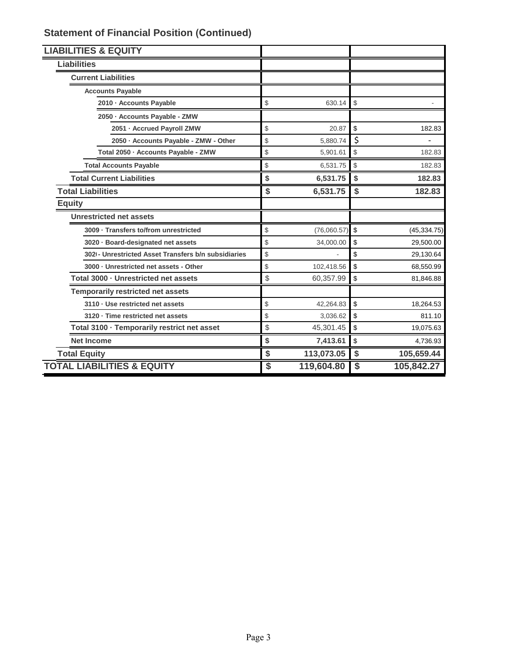| <b>LIABILITIES &amp; EQUITY</b>                      |                   |                                               |              |
|------------------------------------------------------|-------------------|-----------------------------------------------|--------------|
| <b>Liabilities</b>                                   |                   |                                               |              |
| <b>Current Liabilities</b>                           |                   |                                               |              |
| <b>Accounts Payable</b>                              |                   |                                               |              |
| 2010 - Accounts Payable                              | \$<br>630.14      | $\, \, \raisebox{12pt}{$\scriptstyle \circ$}$ |              |
| 2050 - Accounts Payable - ZMW                        |                   |                                               |              |
| 2051 - Accrued Payroll ZMW                           | \$<br>20.87       | \$                                            | 182.83       |
| 2050 - Accounts Payable - ZMW - Other                | \$<br>5,880.74    | \$                                            |              |
| Total 2050 - Accounts Payable - ZMW                  | \$<br>5,901.61    | \$                                            | 182.83       |
| <b>Total Accounts Payable</b>                        | \$<br>6,531.75    | $\,$                                          | 182.83       |
| <b>Total Current Liabilities</b>                     | \$<br>6,531.75    | \$                                            | 182.83       |
| <b>Total Liabilities</b>                             | \$<br>6,531.75    | \$                                            | 182.83       |
| <b>Equity</b>                                        |                   |                                               |              |
| <b>Unrestricted net assets</b>                       |                   |                                               |              |
| 3009 · Transfers to/from unrestricted                | \$<br>(76,060.57) | \$                                            | (45, 334.75) |
| 3020 · Board-designated net assets                   | \$<br>34,000.00   | \$                                            | 29,500.00    |
| 3021 - Unrestricted Asset Transfers b/n subsidiaries | \$                | \$                                            | 29,130.64    |
| 3000 · Unrestricted net assets - Other               | \$<br>102,418.56  | \$                                            | 68,550.99    |
| Total 3000 - Unrestricted net assets                 | \$<br>60,357.99   | \$                                            | 81,846.88    |
| <b>Temporarily restricted net assets</b>             |                   |                                               |              |
| 3110 · Use restricted net assets                     | \$<br>42,264.83   | \$                                            | 18,264.53    |
| 3120 · Time restricted net assets                    | \$<br>3,036.62    | \$                                            | 811.10       |
| Total 3100 - Temporarily restrict net asset          | \$<br>45,301.45   | \$                                            | 19,075.63    |
| <b>Net Income</b>                                    | \$<br>7,413.61    | \$                                            | 4,736.93     |
| <b>Total Equity</b>                                  | \$<br>113,073.05  | $\frac{1}{2}$                                 | 105,659.44   |
| <b>TOTAL LIABILITIES &amp; EQUITY</b>                | \$<br>119,604.80  | $\overline{\boldsymbol{\mathsf{s}}}$          | 105,842.27   |

## **Statement of Financial Position (Continued)**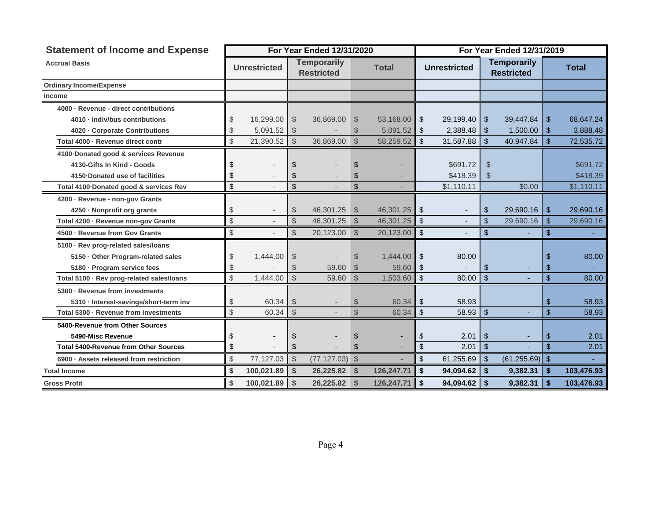| <b>Statement of Income and Expense</b>       |    |                     |                         | For Year Ended 12/31/2020               |                          |              |                           | For Year Ended 12/31/2019 |                           |                                         |               |              |  |
|----------------------------------------------|----|---------------------|-------------------------|-----------------------------------------|--------------------------|--------------|---------------------------|---------------------------|---------------------------|-----------------------------------------|---------------|--------------|--|
| <b>Accrual Basis</b>                         |    | <b>Unrestricted</b> |                         | <b>Temporarily</b><br><b>Restricted</b> |                          | <b>Total</b> |                           | <b>Unrestricted</b>       |                           | <b>Temporarily</b><br><b>Restricted</b> |               | <b>Total</b> |  |
| <b>Ordinary Income/Expense</b>               |    |                     |                         |                                         |                          |              |                           |                           |                           |                                         |               |              |  |
| <b>Income</b>                                |    |                     |                         |                                         |                          |              |                           |                           |                           |                                         |               |              |  |
| 4000 - Revenue - direct contributions        |    |                     |                         |                                         |                          |              |                           |                           |                           |                                         |               |              |  |
| 4010 · Indiv/bus contributions               | \$ | 16,299.00           | $\mathcal{L}$           | 36,869.00                               | - \$                     | 53,168.00    | \$                        | 29,199.40                 | \$                        | 39,447.84                               | \$            | 68,647.24    |  |
| 4020 - Corporate Contributions               | \$ | 5,091.52            | $\mathcal{L}$           |                                         |                          | 5,091.52     | \$                        | 2,388.48                  | \$                        | $1,500.00$ \ \$                         |               | 3,888.48     |  |
| Total 4000 - Revenue direct contr            | \$ | 21,390.52           | $\frac{1}{2}$           | 36,869.00                               | $\mathcal{S}$            | 58,259.52    | $\mathfrak{S}$            | 31,587.88                 | \$                        | 40,947.84                               | \$            | 72,535.72    |  |
| 4100-Donated good & services Revenue         |    |                     |                         |                                         |                          |              |                           |                           |                           |                                         |               |              |  |
| 4130-Gifts In Kind - Goods                   | S  |                     | S                       |                                         |                          |              |                           | \$691.72                  | $S-$                      |                                         |               | \$691.72     |  |
| 4150 Donated use of facilities               | \$ |                     |                         |                                         |                          |              |                           | \$418.39                  | $\mathbb{S}^-$            |                                         |               | \$418.39     |  |
| Total 4100 Donated good & services Rev       | \$ |                     | $\mathfrak{S}$          |                                         | \$                       |              |                           | \$1,110.11                |                           | \$0.00                                  |               | \$1,110.11   |  |
| 4200 - Revenue - non-gov Grants              |    |                     |                         |                                         |                          |              |                           |                           |                           |                                         |               |              |  |
| 4250 · Nonprofit org grants                  | \$ |                     | $\frac{1}{2}$           | 46,301.25                               | -\$                      | 46,301.25    | \$                        |                           | \$                        | 29,690.16                               | \$            | 29,690.16    |  |
| Total 4200 - Revenue non-gov Grants          | \$ |                     | $\frac{1}{2}$           | 46,301.25                               | $\sqrt{3}$               | 46,301.25    | $\sqrt[6]{\frac{1}{2}}$   |                           | \$                        | 29,690.16                               | \$            | 29,690.16    |  |
| 4500 · Revenue from Gov Grants               | \$ |                     | $\mathcal{S}$           | 20,123.00                               | $\sqrt{3}$               | 20,123.00    | \$                        |                           | \$                        |                                         | \$            |              |  |
| 5100 · Rev prog-related sales/loans          |    |                     |                         |                                         |                          |              |                           |                           |                           |                                         |               |              |  |
| 5150 Other Program-related sales             | \$ | 1,444.00            | $\mathcal{L}$           |                                         | \$                       | 1,444.00     | $\boldsymbol{\mathsf{S}}$ | 80.00                     |                           |                                         | \$            | 80.00        |  |
| 5180 · Program service fees                  | \$ |                     | S                       | 59.60                                   |                          | 59.60        | \$                        |                           | \$                        |                                         | \$            |              |  |
| Total 5100 · Rev prog-related sales/loans    | \$ | 1,444.00            | $\mathcal{S}$           | 59.60                                   | $\mathcal{S}$            | 1,503.60     | $\mathsf{\$}$             | 80.00                     | $\mathfrak{S}$            |                                         | \$            | 80.00        |  |
| 5300 - Revenue from investments              |    |                     |                         |                                         |                          |              |                           |                           |                           |                                         |               |              |  |
| 5310 · Interest-savings/short-term inv       | \$ | 60.34               | $\sqrt[6]{\frac{1}{2}}$ |                                         | $\mathcal{S}$            | 60.34        | \$                        | 58.93                     |                           |                                         | \$            | 58.93        |  |
| Total 5300 - Revenue from investments        | \$ | 60.34               | $\sqrt[6]{\frac{1}{2}}$ |                                         | $\mathcal{S}$            | 60.34        | $\boldsymbol{\mathsf{S}}$ | 58.93                     | -\$                       |                                         | \$            | 58.93        |  |
| 5400-Revenue from Other Sources              |    |                     |                         |                                         |                          |              |                           |                           |                           |                                         |               |              |  |
| 5490-Misc Revenue                            | \$ |                     | \$                      |                                         |                          |              | \$                        | 2.01                      | \$                        |                                         | \$            | 2.01         |  |
| <b>Total 5400-Revenue from Other Sources</b> | \$ |                     | \$                      |                                         | \$                       |              | $\boldsymbol{\mathsf{S}}$ | 2.01                      | $\boldsymbol{\mathsf{S}}$ |                                         | $\mathsf{\$}$ | 2.01         |  |
| 6900 · Assets released from restriction      | \$ | 77,127.03           | $\sqrt[6]{\frac{1}{2}}$ | $(77, 127.03)$ \$                       |                          |              | \$                        | 61,255.69                 | $\boldsymbol{\mathsf{S}}$ | $(61, 255.69)$ \$                       |               |              |  |
| <b>Total Income</b>                          | \$ | 100,021.89          | \$                      | 26,225.82                               | -\$                      | 126,247.71   | \$                        | 94,094.62                 | \$                        | 9,382.31                                | -\$           | 103,476.93   |  |
| <b>Gross Profit</b>                          | \$ | 100,021.89          | $\mathbf{s}$            | 26,225.82                               | $\overline{\phantom{a}}$ | 126,247.71   | \$                        | 94,094.62                 | \$                        | 9,382.31                                | \$            | 103,476.93   |  |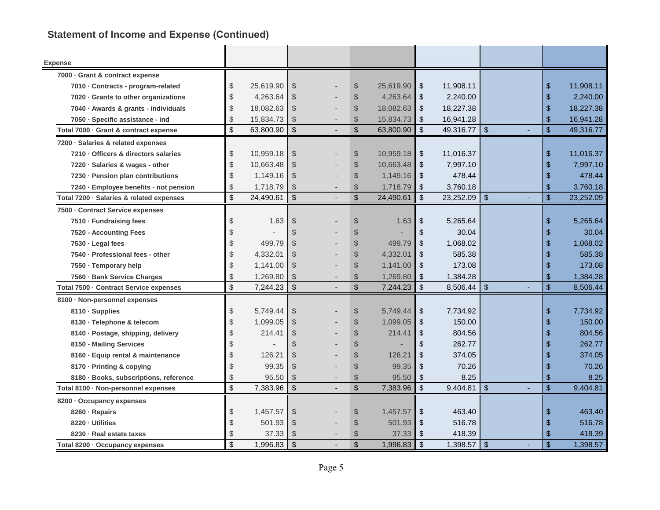# **Statement of Income and Expense (Continued)**

| <b>Expense</b>                           |                |           |                         |                           |           |                              |           |                         |                             |           |
|------------------------------------------|----------------|-----------|-------------------------|---------------------------|-----------|------------------------------|-----------|-------------------------|-----------------------------|-----------|
| 7000 · Grant & contract expense          |                |           |                         |                           |           |                              |           |                         |                             |           |
| 7010 · Contracts - program-related       | \$             | 25,619.90 | \$                      | $\sqrt[6]{\frac{1}{2}}$   | 25,619.90 | $\boldsymbol{\mathsf{\$}}$   | 11,908.11 |                         | \$                          | 11,908.11 |
| 7020 Grants to other organizations       | \$             | 4,263.64  | $\mathcal{L}$           | $\mathcal{S}$             | 4,263.64  | $\boldsymbol{\mathsf{S}}$    | 2,240.00  |                         | \$                          | 2,240.00  |
| 7040 · Awards & grants - individuals     | $\mathcal{L}$  | 18,082.63 | $\mathcal{S}$           | $\mathcal{S}$             | 18,082.63 | $\boldsymbol{\mathsf{\$}}$   | 18,227.38 |                         | $\frac{1}{2}$               | 18,227.38 |
| 7050 · Specific assistance - ind         | $\mathcal{L}$  | 15,834.73 | $\mathbb{S}$            | $\mathcal{S}$             | 15,834.73 | \$                           | 16,941.28 |                         | $\mathfrak{S}$              | 16,941.28 |
| Total 7000 · Grant & contract expense    | $\mathfrak{S}$ | 63,800.90 | $\mathfrak{S}$          | $\mathfrak{S}$            | 63,800.90 | $\mathcal{S}$                | 49,316.77 | $\sqrt[6]{3}$           | $\mathfrak{S}$              | 49,316.77 |
| 7200 · Salaries & related expenses       |                |           |                         |                           |           |                              |           |                         |                             |           |
| 7210 · Officers & directors salaries     | \$             | 10,959.18 | $\frac{1}{2}$           | $\frac{1}{2}$             | 10,959.18 | $\sqrt[6]{\frac{1}{2}}$      | 11,016.37 |                         | \$                          | 11,016.37 |
| 7220 · Salaries & wages - other          | \$             | 10,663.48 | $\frac{1}{2}$           | $\frac{1}{2}$             | 10,663.48 | $\frac{1}{2}$                | 7,997.10  |                         | $\frac{1}{2}$               | 7,997.10  |
| 7230 - Pension plan contributions        | \$             | 1,149.16  | $\mathcal{S}$           | $\mathcal{S}$             | 1,149.16  | $\boldsymbol{\mathsf{S}}$    | 478.44    |                         | $\boldsymbol{\mathsf{S}}$   | 478.44    |
| 7240 · Employee benefits - not pension   | \$             | 1,718.79  | $\mathcal{L}$           | $\frac{1}{2}$             | 1,718.79  | \$                           | 3,760.18  |                         | \$                          | 3,760.18  |
| Total 7200 · Salaries & related expenses | \$             | 24,490.61 | $\mathfrak{S}$          | $\boldsymbol{\mathsf{S}}$ | 24,490.61 | $\mathfrak{S}$               | 23,252.09 | $\sqrt[6]{\frac{1}{2}}$ | \$                          | 23,252.09 |
| 7500 - Contract Service expenses         |                |           |                         |                           |           |                              |           |                         |                             |           |
| 7510 · Fundraising fees                  | \$             | 1.63      | $\frac{1}{2}$           | $\frac{1}{2}$             | 1.63      | $\boldsymbol{\hat{\varphi}}$ | 5,265.64  |                         | \$                          | 5,265.64  |
| 7520 - Accounting Fees                   | \$             |           | $\$\$                   | $\mathfrak{L}$            |           | $\boldsymbol{\mathsf{S}}$    | 30.04     |                         | \$                          | 30.04     |
| $7530 \cdot$ Legal fees                  | \$             | 499.79    | $\mathcal{L}$           | $\mathcal{S}$             | 499.79    | \$                           | 1,068.02  |                         | $\boldsymbol{\hat{\theta}}$ | 1,068.02  |
| 7540 · Professional fees - other         | \$             | 4,332.01  | $\$\$                   | $\frac{1}{2}$             | 4,332.01  | $\boldsymbol{\mathsf{S}}$    | 585.38    |                         | $\boldsymbol{\mathsf{S}}$   | 585.38    |
| 7550 · Temporary help                    | \$             | 1,141.00  | $\$\$                   | $\frac{1}{2}$             | 1,141.00  | $\boldsymbol{\hat{\varphi}}$ | 173.08    |                         | $\frac{1}{2}$               | 173.08    |
| 7560 · Bank Service Charges              | \$             | 1,269.80  | $\mathcal{L}$           | $\frac{1}{2}$             | 1,269.80  | $\boldsymbol{\mathsf{\$}}$   | 1,384.28  |                         | \$                          | 1,384.28  |
| Total 7500 - Contract Service expenses   | \$             | 7,244.23  | $\sqrt[6]{\frac{1}{2}}$ | $\sqrt[6]{\frac{1}{2}}$   | 7,244.23  | $\mathsf{\$}$                | 8,506.44  | $\sqrt{2}$              | $\sqrt{2}$                  | 8,506.44  |
| 8100 · Non-personnel expenses            |                |           |                         |                           |           |                              |           |                         |                             |           |
| 8110 · Supplies                          | \$             | 5,749.44  | $\frac{1}{2}$           | $\frac{1}{2}$             | 5,749.44  | $\sqrt[6]{\frac{1}{2}}$      | 7,734.92  |                         | \$                          | 7,734.92  |
| 8130 · Telephone & telecom               | \$             | 1,099.05  | $\mathcal{S}$           | $\frac{1}{2}$             | 1,099.05  | $\boldsymbol{\mathsf{S}}$    | 150.00    |                         | \$                          | 150.00    |
| 8140 · Postage, shipping, delivery       | \$             | 214.41    | $\mathcal{L}$           | $\frac{1}{2}$             | 214.41    | \$                           | 804.56    |                         | $\frac{1}{2}$               | 804.56    |
| 8150 - Mailing Services                  | \$             |           | $\$\$                   | $\mathcal{S}$             |           | $\frac{1}{2}$                | 262.77    |                         | $\boldsymbol{\hat{\theta}}$ | 262.77    |
| 8160 · Equip rental & maintenance        | \$             | 126.21    | $\$\$                   | $\mathcal{S}$             | 126.21    | $\frac{1}{2}$                | 374.05    |                         | \$                          | 374.05    |
| 8170 · Printing & copying                | \$             | 99.35     | $\mathbb{S}$            | $\mathcal{S}$             | 99.35     | $\sqrt[6]{\frac{1}{2}}$      | 70.26     |                         | \$                          | 70.26     |
| 8180 · Books, subscriptions, reference   | \$             | 95.50     | \$                      | $\mathcal{S}$             | 95.50     | $\boldsymbol{\hat{\varphi}}$ | 8.25      |                         | \$                          | 8.25      |
| Total 8100 · Non-personnel expenses      | \$             | 7,383.96  | $\sqrt[6]{\frac{1}{2}}$ | $\boldsymbol{\mathsf{S}}$ | 7,383.96  | $\sqrt[6]{\frac{1}{2}}$      | 9,404.81  | $\sqrt[6]{3}$           | $\frac{1}{2}$               | 9,404.81  |
| 8200 · Occupancy expenses                |                |           |                         |                           |           |                              |           |                         |                             |           |
| 8260 · Repairs                           | \$             | 1,457.57  | \$                      | $\frac{1}{2}$             | 1,457.57  | $\boldsymbol{\hat{\varphi}}$ | 463.40    |                         | \$                          | 463.40    |
| 8220 · Utilities                         | \$             | 501.93    | $\mathcal{L}$           | $\mathcal{S}$             | 501.93    | $\boldsymbol{\mathsf{\$}}$   | 516.78    |                         | \$                          | 516.78    |
| 8230 · Real estate taxes                 | $\mathcal{L}$  | 37.33     | $\mathcal{L}$           | $\frac{1}{2}$             | 37.33     | \$                           | 418.39    |                         | \$                          | 418.39    |
| Total 8200 · Occupancy expenses          | \$             | 1,996.83  | $\sqrt[6]{\frac{1}{2}}$ | $\boldsymbol{\mathsf{S}}$ | 1,996.83  | $\sqrt[6]{\frac{1}{2}}$      | 1,398.57  | $\frac{1}{2}$           | $\sqrt{3}$                  | 1,398.57  |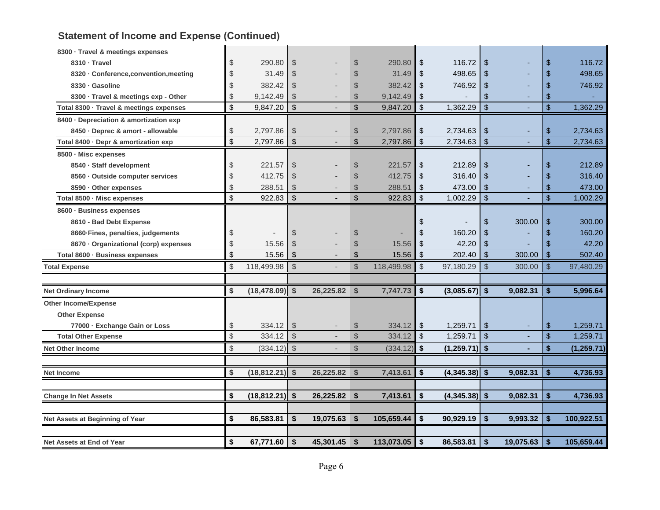# **Statement of Income and Expense (Continued)**

| 8300 · Travel & meetings expenses       |                         |                           |           |                |            |                         |                 |                           |           |            |             |
|-----------------------------------------|-------------------------|---------------------------|-----------|----------------|------------|-------------------------|-----------------|---------------------------|-----------|------------|-------------|
| 8310 · Travel                           | \$<br>290.80            | $\frac{1}{2}$             |           | $\frac{1}{2}$  | 290.80     | \$                      | 116.72          | \$                        |           | \$         | 116.72      |
| 8320 · Conference, convention, meeting  | \$<br>31.49             | $\mathcal{S}$             |           | \$             | 31.49      | \$                      | 498.65          | \$                        |           | \$         | 498.65      |
| 8330 · Gasoline                         | \$<br>382.42            | $\mathcal{S}$             |           | $\mathcal{S}$  | 382.42     | \$                      | 746.92          | \$                        |           | \$         | 746.92      |
| 8300 · Travel & meetings exp - Other    | \$<br>9,142.49          | $\sqrt[6]{\frac{1}{2}}$   |           | \$             | 9,142.49   | \$                      |                 | \$                        |           | \$         |             |
| Total 8300 · Travel & meetings expenses | \$<br>9,847.20          | $\boldsymbol{\mathsf{S}}$ |           | $\mathfrak{S}$ | 9,847.20   | $\mathfrak{S}$          | 1,362.29        | $\sqrt[6]{\frac{1}{2}}$   |           | \$         | 1,362.29    |
| 8400 · Depreciation & amortization exp  |                         |                           |           |                |            |                         |                 |                           |           |            |             |
| 8450 · Deprec & amort - allowable       | \$<br>2,797.86          | $\sqrt[6]{\frac{1}{2}}$   |           | \$             | 2,797.86   | \$                      | 2,734.63        | \$                        |           | \$         | 2,734.63    |
| Total 8400 · Depr & amortization exp    | \$<br>2,797.86          | $\sqrt{2}$                |           | \$             | 2,797.86   | \$                      | 2,734.63        | \$                        |           | \$         | 2,734.63    |
| 8500 · Misc expenses                    |                         |                           |           |                |            |                         |                 |                           |           |            |             |
| 8540 · Staff development                | \$<br>221.57            | $\frac{1}{2}$             |           | \$             | 221.57     | \$                      | 212.89          | \$                        |           | \$         | 212.89      |
| 8560 · Outside computer services        | \$<br>412.75            | $\frac{1}{2}$             |           | \$             | 412.75     | \$                      | 316.40          | \$                        |           | \$         | 316.40      |
| 8590 · Other expenses                   | \$<br>288.51            | $\frac{1}{2}$             |           | \$             | 288.51     | \$                      | 473.00          | \$                        | ۰         | \$         | 473.00      |
| Total 8500 · Misc expenses              | \$<br>922.83            | $\boldsymbol{\mathsf{S}}$ |           | \$             | 922.83     | $\mathfrak{S}$          | 1,002.29        | $\boldsymbol{\mathsf{S}}$ |           | \$         | 1,002.29    |
| 8600 · Business expenses                |                         |                           |           |                |            |                         |                 |                           |           |            |             |
| 8610 - Bad Debt Expense                 |                         |                           |           |                |            | \$                      |                 | \$                        | 300.00    | \$         | 300.00      |
| 8660-Fines, penalties, judgements       | \$                      | $\frac{1}{2}$             |           | $\$\$          |            | \$                      | 160.20          | \$                        |           | \$         | 160.20      |
| 8670 · Organizational (corp) expenses   | \$<br>15.56             | $\mathcal{S}$             |           | \$             | 15.56      | \$                      | 42.20           | \$                        |           | \$         | 42.20       |
| Total 8600 · Business expenses          | \$<br>15.56             | $\boldsymbol{\mathsf{S}}$ |           | \$             | 15.56      | \$                      | 202.40          | \$                        | 300.00    | $\sqrt{2}$ | 502.40      |
| <b>Total Expense</b>                    | \$<br>118,499.98        | $\sqrt[6]{3}$             |           | \$             | 118,499.98 | $\sqrt[6]{\frac{1}{2}}$ | 97,180.29       | $\frac{1}{2}$             | 300.00    | -\$        | 97,480.29   |
|                                         |                         |                           |           |                |            |                         |                 |                           |           |            |             |
| <b>Net Ordinary Income</b>              | \$<br>$(18, 478.09)$ \$ |                           | 26,225.82 | \$             | 7,747.73   | \$                      | $(3,085.67)$ \$ |                           | 9,082.31  | \$         | 5,996.64    |
| <b>Other Income/Expense</b>             |                         |                           |           |                |            |                         |                 |                           |           |            |             |
| <b>Other Expense</b>                    |                         |                           |           |                |            |                         |                 |                           |           |            |             |
| 77000 · Exchange Gain or Loss           | \$<br>334.12            | -\$                       |           | $\mathcal{S}$  | 334.12     | \$                      | 1,259.71        | \$                        |           | \$         | 1,259.71    |
| <b>Total Other Expense</b>              | \$<br>334.12            | $\sqrt{2}$                |           | \$             | 334.12     | \$                      | 1,259.71        | $\boldsymbol{\mathsf{S}}$ |           | \$         | 1,259.71    |
| <b>Net Other Income</b>                 | \$<br>$(334.12)$ \$     |                           |           | \$             | (334.12)   | \$                      | $(1,259.71)$ \$ |                           |           | \$         | (1, 259.71) |
|                                         |                         |                           |           |                |            |                         |                 |                           |           |            |             |
| <b>Net Income</b>                       | \$<br>$(18, 812.21)$ \$ |                           | 26,225.82 | $\mathbf{s}$   | 7,413.61   | \$                      | $(4,345.38)$ \$ |                           | 9,082.31  | l \$       | 4,736.93    |
|                                         |                         |                           |           |                |            |                         |                 |                           |           |            |             |
| <b>Change In Net Assets</b>             | \$<br>$(18, 812.21)$ \$ |                           | 26,225.82 | \$             | 7,413.61   | \$                      | $(4,345.38)$ \$ |                           | 9,082.31  | \$         | 4,736.93    |
|                                         |                         |                           |           |                |            |                         |                 |                           |           |            |             |
| Net Assets at Beginning of Year         | \$<br>86,583.81         | $\boldsymbol{\hat{s}}$    | 19,075.63 | \$             | 105,659.44 | \$                      | 90,929.19       | \$                        | 9,993.32  | \$         | 100,922.51  |
| Net Assets at End of Year               | \$<br>67,771.60         | $\sqrt{5}$                | 45,301.45 | \$             | 113,073.05 | $\boldsymbol{\hat{s}}$  | 86,583.81       | \$                        | 19,075.63 | \$         | 105,659.44  |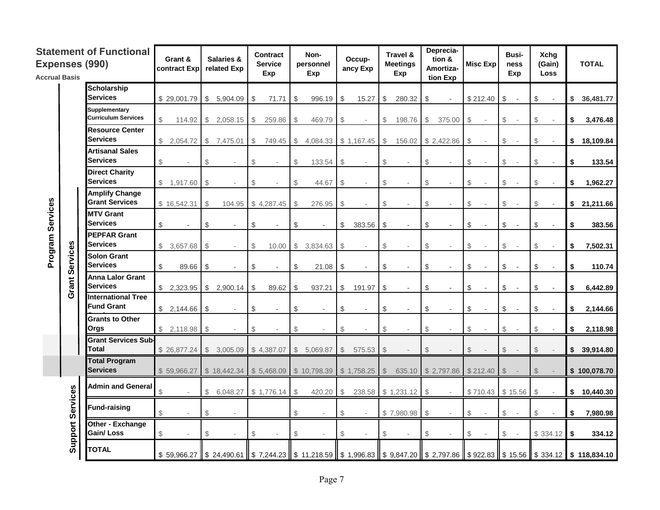| <b>Accrual Basis</b> |          | <b>Statement of Functional</b><br>Expenses (990)   | Grant &<br>contract Expl | Salaries &<br>related Exp           | <b>Contract</b><br><b>Service</b><br>Exp | Non-<br>personnel<br>Exp | Occup-<br>ancy Exp                       | Travel &<br><b>Meetings</b><br>Exp | Deprecia-<br>tion &<br>Amortiza-<br>tion Exp | Misc Exp                       | Busi-<br><b>Xchq</b><br>(Gain)<br>ness<br>Exp<br><b>Loss</b> | <b>TOTAL</b>                                                                                                             |
|----------------------|----------|----------------------------------------------------|--------------------------|-------------------------------------|------------------------------------------|--------------------------|------------------------------------------|------------------------------------|----------------------------------------------|--------------------------------|--------------------------------------------------------------|--------------------------------------------------------------------------------------------------------------------------|
|                      |          | <b>Scholarship</b><br><b>Services</b>              | \$29,001.79              | \$<br>5,904.09                      | \$<br>71.71                              | \$<br>996.19             | \$<br>15.27                              | \$<br>280.32                       | \$                                           | $$212.40$ \\$                  | \$                                                           | \$<br>36,481.77                                                                                                          |
|                      |          | <b>Supplementary</b><br><b>Curriculum Services</b> | $\Re$<br>114.92          | \$2,058.15                          | $\mathbb{S}$<br>259.86                   | - \$<br>469.79           | $\mathbb{S}$<br>$\overline{\phantom{a}}$ | \$<br>198.76                       | $\mathbb{S}$<br>375.00                       | \$<br>$\mathbb{S}$<br>$\sim$   | $\mathbb{S}$<br>$\overline{\phantom{a}}$<br>$\sim$           | \$<br>3,476.48                                                                                                           |
|                      |          | <b>Resource Center</b><br><b>Services</b>          | \$2,054.72               | \$7,475.01                          | $$\tilde{}}$<br>749.45                   | $\sqrt{3}$<br>4,084.33   | \$1,167.45                               | $\frac{1}{2}$<br>156.02            | \$2,422.86                                   | \$<br>\$                       | $\mathbb S$<br>÷,<br>٠                                       | \$18,109.84                                                                                                              |
|                      |          | <b>Artisanal Sales</b><br><b>Services</b>          | \$                       | \$                                  | \$<br>÷                                  | $\mathbb{S}$<br>133.54   | \$                                       | $\mathcal{S}$                      | $\mathbb{S}$                                 | $\mathbb{S}$<br>$$\mathbb{S}$$ | $\mathbb{S}$<br>$\sim$<br>$\overline{a}$                     | \$<br>133.54                                                                                                             |
|                      |          | <b>Direct Charity</b><br><b>Services</b>           | \$1,917.60               | \$                                  | \$                                       | $\mathbb{S}$<br>44.67    | $\mathbb{S}$                             | $\mathcal{S}$                      | $\mathbb S$                                  | \$<br>$\$\$                    | $\mathbb{S}$<br>$\overline{\phantom{a}}$                     | \$<br>1,962.27                                                                                                           |
|                      |          | <b>Amplify Change</b><br><b>Grant Services</b>     | \$16,542.31              | $\mathbb S$<br>104.95               | \$4,287.45                               | $\mathbb{S}$<br>276.95   | $\mathbb{S}$<br>$\overline{\phantom{a}}$ | $\mathbb{S}$                       | \$<br>$\sim$                                 | $\mathbb{S}$<br>$\$\$          | $\mathbb{S}$<br>٠.<br>$\overline{\phantom{a}}$               | \$21,211.66                                                                                                              |
|                      |          | <b>MTV Grant</b><br><b>Services</b>                | \$                       | \$<br>÷,                            | \$<br>$\overline{\phantom{a}}$           | $\$\$                    | $\$\$<br>383.56                          | \$                                 | \$<br>$\overline{\phantom{a}}$               | $\$\$<br>\$                    | \$<br>$\overline{\phantom{a}}$                               | \$<br>383.56                                                                                                             |
| Program Services     |          | <b>PEPFAR Grant</b><br><b>Services</b>             | \$3,657.68               | $\mathcal{S}$                       | \$<br>10.00                              | \$<br>3,834.63           | \$                                       | \$                                 | \$                                           | $\mathcal{S}$<br>$\mathbb{S}$  | \$                                                           | 7,502.31<br>\$                                                                                                           |
|                      | Services | <b>Solon Grant</b><br><b>Services</b>              | \$<br>89.66              | \$                                  | \$                                       | 21.08<br>\$              | $\$\$                                    | \$                                 | \$                                           | \$<br>\$                       | \$                                                           | \$<br>110.74                                                                                                             |
|                      | Grant    | <b>Anna Lalor Grant</b><br><b>Services</b>         | \$2,323.95               | $\mathbb{S}$<br>2,900.14            | \$<br>89.62                              | 937.21<br>- \$           | \$<br>191.97                             | \$                                 | \$                                           | \$<br>\$                       | \$                                                           | \$<br>6,442.89                                                                                                           |
|                      |          | <b>International Tree</b><br><b>Fund Grant</b>     | \$2,144.66               | \$<br>$\overline{\phantom{a}}$      | \$<br>$\overline{\phantom{a}}$           | $\$\$<br>$\sim$          | \$<br>$\sim$                             | $\frac{1}{2}$                      | \$<br>$\overline{a}$                         | \$<br>$\$\$                    | $\sqrt[6]{\frac{1}{2}}$<br>$\sim$                            | \$<br>2,144.66                                                                                                           |
|                      |          | <b>Grants to Other</b><br>Orgs                     | \$2,118.98               | \$                                  | \$                                       | \$                       | \$.                                      |                                    | $\mathcal{L}$                                | $\mathcal{S}$<br>\$            | \$                                                           | \$<br>2,118.98                                                                                                           |
|                      |          | <b>Grant Services Sub-</b><br><b>Total</b>         | \$26,877.24              | $$\tilde{\phantom{a}}$$<br>3,005.09 | \$4,387.07                               | \$<br>5,069.87           | 575.53<br>$\mathbb{S}$                   | $\mathcal{L}$                      | $\mathcal{L}$                                | $\mathcal{L}$<br>$\mathcal{L}$ | $\mathcal{L}$                                                | \$<br>39,914.80                                                                                                          |
|                      |          | <b>Total Program</b><br><b>Services</b>            | \$59,966.27              | \$18,442.34                         | \$5,468.09                               | \$10,798.39              | \$1,758.25                               | $\mathcal{S}$                      | 635.10 \$2,797.86                            | \$212.40<br>$\mathcal{L}$      | $\mathbb{S}$                                                 | \$100,078.70                                                                                                             |
|                      |          | <b>Admin and General</b>                           | \$                       | \$<br>6,048.27                      | \$1,776.14                               | $\mathcal{L}$<br>420.20  | $\frac{1}{2}$<br>238.58                  | $$1,231.12$ \$                     | $\overline{\phantom{a}}$                     | \$710.43 \$15.56               | $\sqrt[6]{\frac{1}{2}}$<br>$\overline{\phantom{a}}$          | \$<br>10,440.30                                                                                                          |
|                      | Services | <b>Fund-raising</b>                                | $\mathbb S$              | \$                                  |                                          | $$\mathbb{S}$$           | \$                                       | \$7,980.98                         | $\mathcal{L}$                                | $\$\$<br>$\$\$                 | $\mathcal{L}$                                                | \$<br>7,980.98                                                                                                           |
|                      | Support  | Other - Exchange<br>Gain/Loss                      | \$                       | \$                                  | \$                                       | $\mathcal{L}$            | \$                                       | $\mathcal{L}$                      | $\sqrt[6]{\frac{1}{2}}$                      | $\$\$<br>$\$\$                 | \$334.12<br>$\sim$                                           | $\sqrt{2}$<br>334.12                                                                                                     |
|                      |          | <b>TOTAL</b>                                       |                          |                                     |                                          |                          |                                          |                                    |                                              |                                |                                                              | \$59,966.27 \$24,490.61 \$7,244.23 \$11,218.59 \$1,996.83 \$9,847.20 \$2,797.86 \$922.83 \$15.56 \$\$334.12 \$118,834.10 |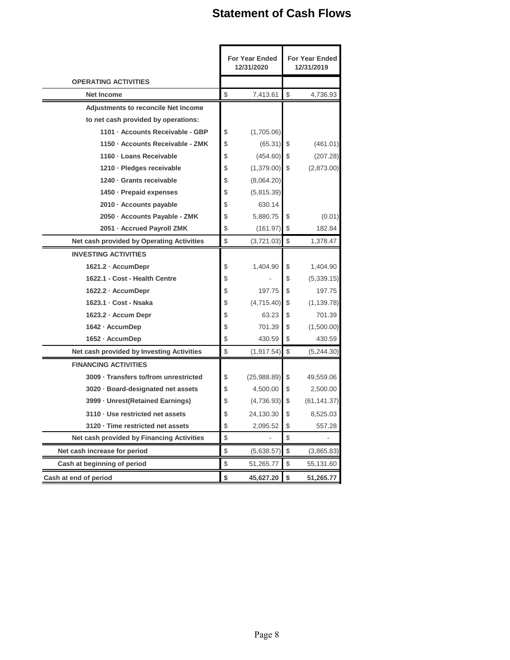# **Statement of Cash Flows**

|                                            | <b>For Year Ended</b><br>12/31/2020 |                                                   | <b>For Year Ended</b><br>12/31/2019 |
|--------------------------------------------|-------------------------------------|---------------------------------------------------|-------------------------------------|
| <b>OPERATING ACTIVITIES</b>                |                                     |                                                   |                                     |
| Net Income                                 | \$<br>7,413.61                      | $\mathbb{S}$                                      | 4,736.93                            |
| <b>Adjustments to reconcile Net Income</b> |                                     |                                                   |                                     |
| to net cash provided by operations:        |                                     |                                                   |                                     |
| 1101 · Accounts Receivable - GBP           | \$<br>(1,705.06)                    |                                                   |                                     |
| 1150 · Accounts Receivable - ZMK           | \$<br>$(65.31)$ \$                  |                                                   | (461.01)                            |
| 1160 - Loans Receivable                    | \$<br>$(454.60)$ \$                 |                                                   | (207.28)                            |
| 1210 · Pledges receivable                  | \$<br>$(1,379.00)$ \$               |                                                   | (2,873.00)                          |
| 1240 - Grants receivable                   | \$<br>(8,064.20)                    |                                                   |                                     |
| 1450 · Prepaid expenses                    | \$<br>(5,815.39)                    |                                                   |                                     |
| 2010 · Accounts payable                    | \$<br>630.14                        |                                                   |                                     |
| 2050 - Accounts Payable - ZMK              | \$<br>5,880.75                      | \$                                                | (0.01)                              |
| 2051 · Accrued Payroll ZMK                 | \$<br>(161.97)                      | \$                                                | 182.84                              |
| Net cash provided by Operating Activities  | \$<br>(3,721.03)                    | \$                                                | 1,378.47                            |
| <b>INVESTING ACTIVITIES</b>                |                                     |                                                   |                                     |
| 1621.2 · AccumDepr                         | \$<br>1,404.90                      | \$                                                | 1,404.90                            |
| 1622.1 - Cost - Health Centre              | \$                                  | \$                                                | (5,339.15)                          |
| 1622.2 · AccumDepr                         | \$<br>197.75                        | \$                                                | 197.75                              |
| 1623.1 · Cost - Nsaka                      | \$<br>(4,715.40)                    | \$                                                | (1, 139.78)                         |
| 1623.2 · Accum Depr                        | \$<br>63.23                         | \$                                                | 701.39                              |
| 1642 - AccumDep                            | \$<br>701.39                        | \$                                                | (1,500.00)                          |
| 1652 - AccumDep                            | \$<br>430.59                        | \$                                                | 430.59                              |
| Net cash provided by Investing Activities  | \$<br>(1, 917.54)                   | $\mathfrak{S}$                                    | (5,244.30)                          |
| <b>FINANCING ACTIVITIES</b>                |                                     |                                                   |                                     |
| 3009 · Transfers to/from unrestricted      | \$<br>(25,988.89)                   | \$                                                | 49,559.06                           |
| 3020 · Board-designated net assets         | \$<br>4,500.00                      | \$                                                | 2,500.00                            |
| 3999 - Unrest(Retained Earnings)           | \$<br>(4,736.93)                    | \$                                                | (61, 141.37)                        |
| 3110 · Use restricted net assets           | \$<br>24,130.30                     | \$                                                | 8,525.03                            |
| 3120 · Time restricted net assets          | \$<br>2,095.52                      | \$                                                | 557.28                              |
| Net cash provided by Financing Activities  | \$                                  | $\, \, \raisebox{12pt}{$\scriptstyle \circ$}$     |                                     |
| Net cash increase for period               | \$<br>(5,638.57)                    | $\, \, \raisebox{-1.5pt}{\text{\circle*{1.5}}}\,$ | (3,865.83)                          |
| Cash at beginning of period                | \$<br>51,265.77                     | \$                                                | 55,131.60                           |
| Cash at end of period                      | \$<br>45,627.20                     | \$                                                | 51,265.77                           |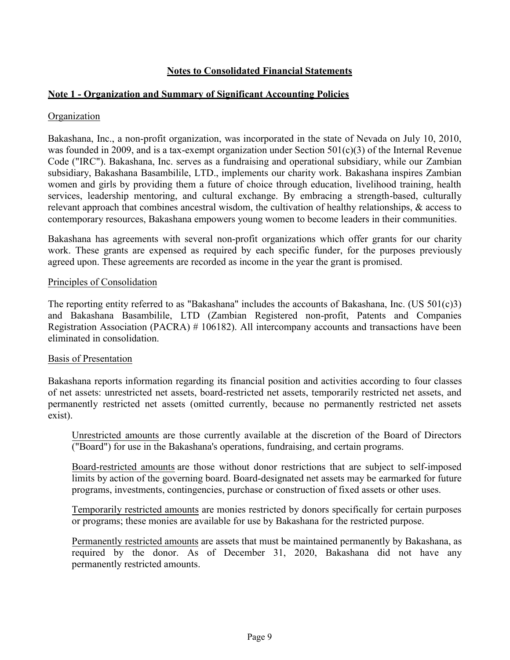## **Notes to Consolidated Financial Statements**

## **Note 1 - Organization and Summary of Significant Accounting Policies**

#### **Organization**

Bakashana, Inc., a non-profit organization, was incorporated in the state of Nevada on July 10, 2010, was founded in 2009, and is a tax-exempt organization under Section 501(c)(3) of the Internal Revenue Code ("IRC"). Bakashana, Inc. serves as a fundraising and operational subsidiary, while our Zambian subsidiary, Bakashana Basambilile, LTD., implements our charity work. Bakashana inspires Zambian women and girls by providing them a future of choice through education, livelihood training, health services, leadership mentoring, and cultural exchange. By embracing a strength-based, culturally relevant approach that combines ancestral wisdom, the cultivation of healthy relationships, & access to contemporary resources, Bakashana empowers young women to become leaders in their communities.

Bakashana has agreements with several non-profit organizations which offer grants for our charity work. These grants are expensed as required by each specific funder, for the purposes previously agreed upon. These agreements are recorded as income in the year the grant is promised.

#### Principles of Consolidation

The reporting entity referred to as "Bakashana" includes the accounts of Bakashana, Inc. (US 501(c)3) and Bakashana Basambilile, LTD (Zambian Registered non-profit, Patents and Companies Registration Association (PACRA) # 106182). All intercompany accounts and transactions have been eliminated in consolidation.

#### Basis of Presentation

Bakashana reports information regarding its financial position and activities according to four classes of net assets: unrestricted net assets, board-restricted net assets, temporarily restricted net assets, and permanently restricted net assets (omitted currently, because no permanently restricted net assets exist).

Unrestricted amounts are those currently available at the discretion of the Board of Directors ("Board") for use in the Bakashana's operations, fundraising, and certain programs.

Board-restricted amounts are those without donor restrictions that are subject to self-imposed limits by action of the governing board. Board-designated net assets may be earmarked for future programs, investments, contingencies, purchase or construction of fixed assets or other uses.

Temporarily restricted amounts are monies restricted by donors specifically for certain purposes or programs; these monies are available for use by Bakashana for the restricted purpose.

Permanently restricted amounts are assets that must be maintained permanently by Bakashana, as required by the donor. As of December 31, 2020, Bakashana did not have any permanently restricted amounts.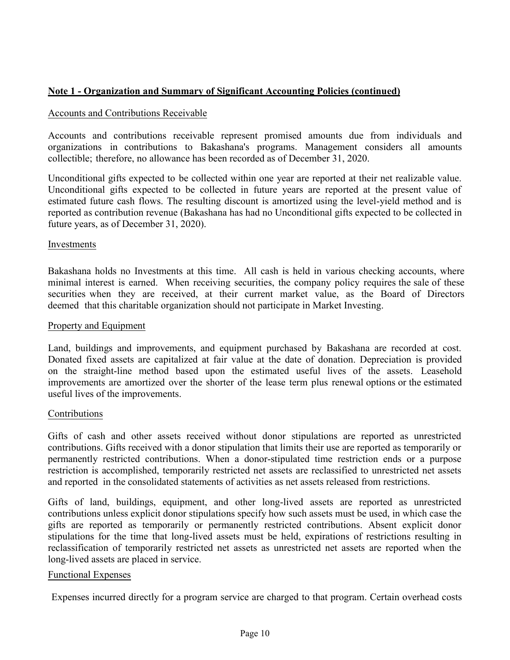## **Note 1 - Organization and Summary of Significant Accounting Policies (continued)**

#### Accounts and Contributions Receivable

Accounts and contributions receivable represent promised amounts due from individuals and organizations in contributions to Bakashana's programs. Management considers all amounts collectible; therefore, no allowance has been recorded as of December 31, 2020.

Unconditional gifts expected to be collected within one year are reported at their net realizable value. Unconditional gifts expected to be collected in future years are reported at the present value of estimated future cash flows. The resulting discount is amortized using the level-yield method and is reported as contribution revenue (Bakashana has had no Unconditional gifts expected to be collected in future years, as of December 31, 2020).

#### Investments

Bakashana holds no Investments at this time. All cash is held in various checking accounts, where minimal interest is earned. When receiving securities, the company policy requires the sale of these securities when they are received, at their current market value, as the Board of Directors deemed that this charitable organization should not participate in Market Investing.

#### Property and Equipment

Land, buildings and improvements, and equipment purchased by Bakashana are recorded at cost. Donated fixed assets are capitalized at fair value at the date of donation. Depreciation is provided on the straight-line method based upon the estimated useful lives of the assets. Leasehold improvements are amortized over the shorter of the lease term plus renewal options or the estimated useful lives of the improvements.

#### Contributions

Gifts of cash and other assets received without donor stipulations are reported as unrestricted contributions. Gifts received with a donor stipulation that limits their use are reported as temporarily or permanently restricted contributions. When a donor-stipulated time restriction ends or a purpose restriction is accomplished, temporarily restricted net assets are reclassified to unrestricted net assets and reported in the consolidated statements of activities as net assets released from restrictions.

Gifts of land, buildings, equipment, and other long-lived assets are reported as unrestricted contributions unless explicit donor stipulations specify how such assets must be used, in which case the gifts are reported as temporarily or permanently restricted contributions. Absent explicit donor stipulations for the time that long-lived assets must be held, expirations of restrictions resulting in reclassification of temporarily restricted net assets as unrestricted net assets are reported when the long-lived assets are placed in service.

#### Functional Expenses

Expenses incurred directly for a program service are charged to that program. Certain overhead costs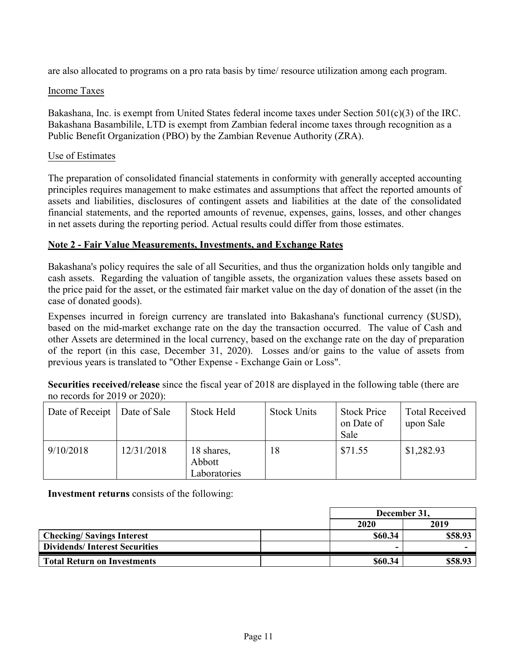are also allocated to programs on a pro rata basis by time/ resource utilization among each program.

## Income Taxes

Bakashana, Inc. is exempt from United States federal income taxes under Section 501(c)(3) of the IRC. Bakashana Basambilile, LTD is exempt from Zambian federal income taxes through recognition as a Public Benefit Organization (PBO) by the Zambian Revenue Authority (ZRA).

## Use of Estimates

The preparation of consolidated financial statements in conformity with generally accepted accounting principles requires management to make estimates and assumptions that affect the reported amounts of assets and liabilities, disclosures of contingent assets and liabilities at the date of the consolidated financial statements, and the reported amounts of revenue, expenses, gains, losses, and other changes in net assets during the reporting period. Actual results could differ from those estimates.

## **Note 2 - Fair Value Measurements, Investments, and Exchange Rates**

Bakashana's policy requires the sale of all Securities, and thus the organization holds only tangible and cash assets. Regarding the valuation of tangible assets, the organization values these assets based on the price paid for the asset, or the estimated fair market value on the day of donation of the asset (in the case of donated goods).

Expenses incurred in foreign currency are translated into Bakashana's functional currency (\$USD), based on the mid-market exchange rate on the day the transaction occurred. The value of Cash and other Assets are determined in the local currency, based on the exchange rate on the day of preparation of the report (in this case, December 31, 2020). Losses and/or gains to the value of assets from previous years is translated to "Other Expense - Exchange Gain or Loss".

**Securities received/release** since the fiscal year of 2018 are displayed in the following table (there are no records for 2019 or 2020):

| Date of Receipt | Date of Sale | <b>Stock Held</b>                    | <b>Stock Units</b> | <b>Stock Price</b><br>on Date of<br>Sale | <b>Total Received</b><br>upon Sale |
|-----------------|--------------|--------------------------------------|--------------------|------------------------------------------|------------------------------------|
| 9/10/2018       | 12/31/2018   | 18 shares,<br>Abbott<br>Laboratories | 18                 | \$71.55                                  | \$1,282.93                         |

**Investment returns** consists of the following:

|                                      | December 31, |         |  |
|--------------------------------------|--------------|---------|--|
|                                      | 2020         | 2019    |  |
| <b>Checking/Savings Interest</b>     | \$60.34      | \$58.93 |  |
| <b>Dividends/Interest Securities</b> |              |         |  |
| <b>Total Return on Investments</b>   | \$60.34      | \$58.93 |  |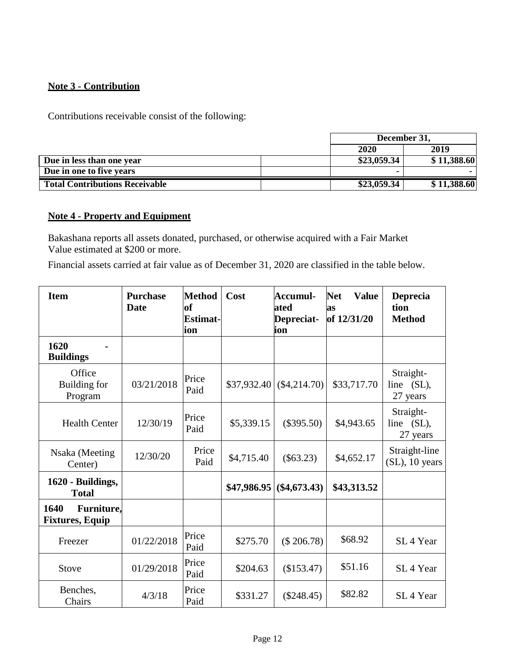## **Note 3 - Contribution**

Contributions receivable consist of the following:

|                                       | December 31, |             |  |
|---------------------------------------|--------------|-------------|--|
|                                       | 2020         | 2019        |  |
| Due in less than one year             | \$23,059.34  | \$11,388.60 |  |
| Due in one to five years              |              |             |  |
| <b>Total Contributions Receivable</b> | \$23,059.34  | \$11,388.60 |  |

## **Note 4 - Property and Equipment**

Bakashana reports all assets donated, purchased, or otherwise acquired with a Fair Market Value estimated at \$200 or more.

Financial assets carried at fair value as of December 31, 2020 are classified in the table below.

| <b>Item</b>                                  | <b>Purchase</b><br><b>Date</b> | <b>Method</b><br><b>of</b><br>Estimat-<br>ion | Cost        | Accumul-<br>ated<br>Depreciat-<br>ion | <b>Net</b><br><b>Value</b><br>as<br>of 12/31/20 | Deprecia<br>tion<br><b>Method</b>   |
|----------------------------------------------|--------------------------------|-----------------------------------------------|-------------|---------------------------------------|-------------------------------------------------|-------------------------------------|
| 1620<br><b>Buildings</b>                     |                                |                                               |             |                                       |                                                 |                                     |
| Office<br>Building for<br>Program            | 03/21/2018                     | Price<br>Paid                                 | \$37,932.40 | $(\$4,214.70)$                        | \$33,717.70                                     | Straight-<br>line (SL),<br>27 years |
| <b>Health Center</b>                         | 12/30/19                       | Price<br>Paid                                 | \$5,339.15  | $(\$395.50)$                          | \$4,943.65                                      | Straight-<br>line (SL),<br>27 years |
| Nsaka (Meeting<br>Center)                    | 12/30/20                       | Price<br>Paid                                 | \$4,715.40  | $(\$63.23)$                           | \$4,652.17                                      | Straight-line<br>$(SL)$ , 10 years  |
| 1620 - Buildings,<br><b>Total</b>            |                                |                                               | \$47,986.95 | $(\$4,673.43)$                        | \$43,313.52                                     |                                     |
| Furniture,<br>1640<br><b>Fixtures, Equip</b> |                                |                                               |             |                                       |                                                 |                                     |
| Freezer                                      | 01/22/2018                     | Price<br>Paid                                 | \$275.70    | $(\$206.78)$                          | \$68.92                                         | SL <sub>4</sub> Year                |
| Stove                                        | 01/29/2018                     | Price<br>Paid                                 | \$204.63    | (\$153.47)                            | \$51.16                                         | SL <sub>4</sub> Year                |
| Benches,<br>Chairs                           | 4/3/18                         | Price<br>Paid                                 | \$331.27    | $(\$248.45)$                          | \$82.82                                         | SL <sub>4</sub> Year                |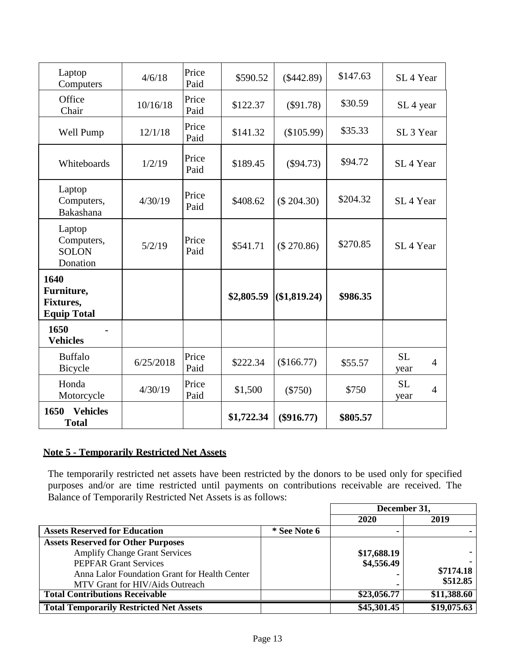| Laptop<br>Computers                                   | 4/6/18    | Price<br>Paid | \$590.52   | $(\$442.89)$ | \$147.63 | SL <sub>4</sub> Year                |
|-------------------------------------------------------|-----------|---------------|------------|--------------|----------|-------------------------------------|
| Office<br>Chair                                       | 10/16/18  | Price<br>Paid | \$122.37   | $(\$91.78)$  | \$30.59  | SL 4 year                           |
| Well Pump                                             | 12/1/18   | Price<br>Paid | \$141.32   | (\$105.99)   | \$35.33  | SL <sub>3</sub> Year                |
| Whiteboards                                           | 1/2/19    | Price<br>Paid | \$189.45   | (\$94.73)    | \$94.72  | SL <sub>4</sub> Year                |
| Laptop<br>Computers,<br>Bakashana                     | 4/30/19   | Price<br>Paid | \$408.62   | $(\$204.30)$ | \$204.32 | SL <sub>4</sub> Year                |
| Laptop<br>Computers,<br><b>SOLON</b><br>Donation      | 5/2/19    | Price<br>Paid | \$541.71   | (\$270.86)   | \$270.85 | SL <sub>4</sub> Year                |
| 1640<br>Furniture,<br>Fixtures,<br><b>Equip Total</b> |           |               | \$2,805.59 | (\$1,819.24) | \$986.35 |                                     |
| 1650<br><b>Vehicles</b>                               |           |               |            |              |          |                                     |
| <b>Buffalo</b><br>Bicycle                             | 6/25/2018 | Price<br>Paid | \$222.34   | (\$166.77)   | \$55.57  | <b>SL</b><br>$\overline{4}$<br>year |
| Honda<br>Motorcycle                                   | 4/30/19   | Price<br>Paid | \$1,500    | $(\$750)$    | \$750    | <b>SL</b><br>$\overline{4}$<br>year |
| 1650 Vehicles<br><b>Total</b>                         |           |               | \$1,722.34 | $(\$916.77)$ | \$805.57 |                                     |

## **Note 5 - Temporarily Restricted Net Assets**

The temporarily restricted net assets have been restricted by the donors to be used only for specified purposes and/or are time restricted until payments on contributions receivable are received. The Balance of Temporarily Restricted Net Assets is as follows:

|                                                |              | December 31, |             |
|------------------------------------------------|--------------|--------------|-------------|
|                                                |              | <b>2020</b>  | 2019        |
| <b>Assets Reserved for Education</b>           | * See Note 6 |              |             |
| <b>Assets Reserved for Other Purposes</b>      |              |              |             |
| <b>Amplify Change Grant Services</b>           |              | \$17,688.19  |             |
| <b>PEPFAR Grant Services</b>                   |              | \$4,556.49   |             |
| Anna Lalor Foundation Grant for Health Center  |              |              | \$7174.18   |
| MTV Grant for HIV/Aids Outreach                |              |              | \$512.85    |
| <b>Total Contributions Receivable</b>          |              | \$23,056.77  | \$11,388.60 |
| <b>Total Temporarily Restricted Net Assets</b> |              | \$45,301.45  | \$19,075.63 |